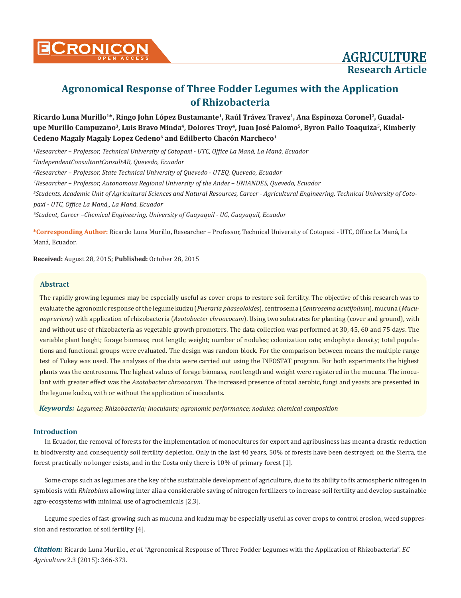

Ricardo Luna Murillo<sup>1\*</sup>, Ringo John López Bustamante<sup>1</sup>, Raúl Trávez Travez<sup>1</sup>, Ana Espinoza Coronel<sup>2</sup>, Guadal**upe Murillo Campuzano3, Luis Bravo Minda4, Dolores Troy4, Juan José Palomo5, Byron Pallo Toaquiza5, Kimberly**  Cedeno Magaly Magaly Lopez Cedeno<sup>6</sup> and Edilberto Chacón Marcheco<sup>1</sup>

 *Researcher – Professor, Technical University of Cotopaxi - UTC, Office La Maná, La Maná, Ecuador IndependentConsultantConsultAR, Quevedo, Ecuador Researcher – Professor, State Technical University of Quevedo - UTEQ, Quevedo, Ecuador Researcher – Professor, Autonomous Regional University of the Andes – UNIANDES, Quevedo, Ecuador Students, Academic Unit of Agricultural Sciences and Natural Resources, Career - Agricultural Engineering, Technical University of Cotopaxi - UTC, Office La Maná,, La Maná, Ecuador Student, Career –Chemical Engineering, University of Guayaquil - UG, Guayaquil, Ecuador*

**\*Corresponding Author:** Ricardo Luna Murillo, Researcher – Professor, Technical University of Cotopaxi - UTC, Office La Maná, La Maná, Ecuador.

**Received:** August 28, 2015; **Published:** October 28, 2015

### **Abstract**

The rapidly growing legumes may be especially useful as cover crops to restore soil fertility. The objective of this research was to evaluate the agronomic response of the legume kudzu (*Pueraria phaseoloides*), centrosema (*Centrosema acutifolium*), mucuna (*Mucunapruriens*) with application of rhizobacteria (*Azotobacter chroococum*). Using two substrates for planting (cover and ground), with and without use of rhizobacteria as vegetable growth promoters. The data collection was performed at 30, 45, 60 and 75 days. The variable plant height; forage biomass; root length; weight; number of nodules; colonization rate; endophyte density; total populations and functional groups were evaluated. The design was random block. For the comparison between means the multiple range test of Tukey was used. The analyses of the data were carried out using the INFOSTAT program. For both experiments the highest plants was the centrosema. The highest values of forage biomass, root length and weight were registered in the mucuna. The inoculant with greater effect was the *Azotobacter chroococum*. The increased presence of total aerobic, fungi and yeasts are presented in the legume kudzu, with or without the application of inoculants.

*Keywords: Legumes; Rhizobacteria; Inoculants; agronomic performance; nodules; chemical composition*

### **Introduction**

In Ecuador, the removal of forests for the implementation of monocultures for export and agribusiness has meant a drastic reduction in biodiversity and consequently soil fertility depletion. Only in the last 40 years, 50% of forests have been destroyed; on the Sierra, the forest practically no longer exists, and in the Costa only there is 10% of primary forest [1].

Some crops such as legumes are the key of the sustainable development of agriculture, due to its ability to fix atmospheric nitrogen in symbiosis with *Rhizobium* allowing inter alia a considerable saving of nitrogen fertilizers to increase soil fertility and develop sustainable agro-ecosystems with minimal use of agrochemicals [2,3].

Legume species of fast-growing such as mucuna and kudzu may be especially useful as cover crops to control erosion, weed suppression and restoration of soil fertility [4].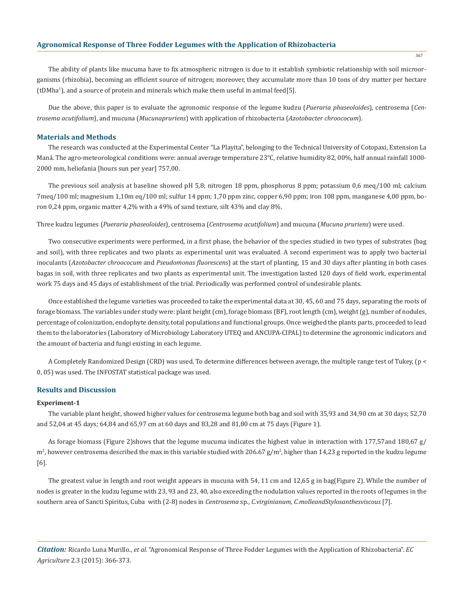The ability of plants like mucuma have to fix atmospheric nitrogen is due to it establish symbiotic relationship with soil microorganisms (rhizobia), becoming an efficient source of nitrogen; moreover, they accumulate more than 10 tons of dry matter per hectare  $(tDMha<sup>1</sup>)$ , and a source of protein and minerals which make them useful in animal feed[5].

Due the above, this paper is to evaluate the agronomic response of the legume kudzu (*Pueraria phaseoloides*), centrosema (*Centrosema acutifolium*), and mucuna (*Mucunapruriens*) with application of rhizobacteria (*Azotobacter chroococum*).

#### **Materials and Methods**

The research was conducted at the Experimental Center "La Playita", belonging to the Technical University of Cotopaxi, Extension La Maná. The agro-meteorological conditions were: annual average temperature 23°C, relative humidity 82, 00%, half annual rainfall 1000-2000 mm, heliofania [hours sun per year] 757,00.

The previous soil analysis at baseline showed pH 5,8; nitrogen 18 ppm, phosphorus 8 ppm; potassium 0,6 meq/100 ml; calcium 7meq/100 ml; magnesium 1,10m eq/100 ml; sulfur 14 ppm; 1,70 ppm zinc, copper 6,90 ppm; iron 108 ppm, manganese 4,00 ppm, boron 0,24 ppm, organic matter 4,2% with a 49% of sand texture, silt 43% and clay 8%.

Three kudzu legumes (*Pueraria phaseoloides*), centrosema (*Centrosema acutifolium*) and mucuna (*Mucuna pruriens*) were used.

Two consecutive experiments were performed, in a first phase, the behavior of the species studied in two types of substrates (bag and soil), with three replicates and two plants as experimental unit was evaluated. A second experiment was to apply two bacterial inoculants (*Azotobacter chroococum* and *Pseudomonas fluorescens*) at the start of planting, 15 and 30 days after planting in both cases bagas in soil, with three replicates and two plants as experimental unit. The investigation lasted 120 days of field work, experimental work 75 days and 45 days of establishment of the trial. Periodically was performed control of undesirable plants.

Once established the legume varieties was proceeded to take the experimental data at 30, 45, 60 and 75 days, separating the roots of forage biomass. The variables under study were: plant height (cm), forage biomass (BF), root length (cm), weight (g), number of nodules, percentage of colonization, endophyte density, total populations and functional groups. Once weighed the plants parts, proceeded to lead them to the laboratories (Laboratory of Microbiology Laboratory UTEQ and ANCUPA-CIPAL) to determine the agronomic indicators and the amount of bacteria and fungi existing in each legume.

A Completely Randomized Design (CRD) was used. To determine differences between average, the multiple range test of Tukey, (p < 0, 05) was used. The INFOSTAT statistical package was used.

### **Results and Discussion**

#### **Experiment-1**

The variable plant height, showed higher values for centrosema legume both bag and soil with 35,93 and 34,90 cm at 30 days; 52,70 and 52,04 at 45 days; 64,84 and 65,97 cm at 60 days and 83,28 and 81,80 cm at 75 days (Figure 1).

As forage biomass (Figure 2)shows that the legume mucuma indicates the highest value in interaction with 177,57and 180,67 g/  $m^2$ , however centrosema described the max in this variable studied with 206.67 g/m², higher than 14,23 g reported in the kudzu legume [6].

The greatest value in length and root weight appears in mucuna with 54, 11 cm and 12,65 g in bag(Figure 2). While the number of nodes is greater in the kudzu legume with 23, 93 and 23, 40, also exceeding the nodulation values reported in the roots of legumes in the southern area of Sancti Spiritus, Cuba with (2-8) nodes in *Centrosema* sp., *C.virginianum, C.molleandStylosanthesviscous* [7].

*Citation:* Ricardo Luna Murillo., *et al*. "Agronomical Response of Three Fodder Legumes with the Application of Rhizobacteria". *EC Agriculture* 2.3 (2015): 366-373.

367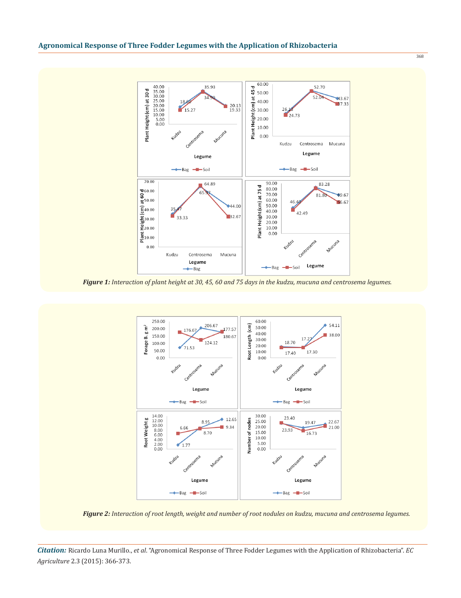

*Figure 1: Interaction of plant height at 30, 45, 60 and 75 days in the kudzu, mucuna and centrosema legumes.*



*Figure 2: Interaction of root length, weight and number of root nodules on kudzu, mucuna and centrosema legumes.*

*Citation:* Ricardo Luna Murillo., *et al*. "Agronomical Response of Three Fodder Legumes with the Application of Rhizobacteria". *EC Agriculture* 2.3 (2015): 366-373.

368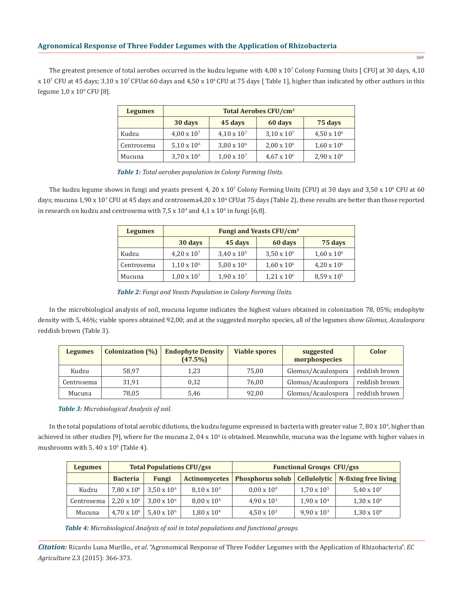The greatest presence of total aerobes occurred in the kudzu legume with  $4,00 \times 10'$  Colony Forming Units [ CFU] at 30 days,  $4,10$ x 10<sup>7</sup> CFU at 45 days; 3,10 x 107 CFUat 60 days and 4,50 x 106 CFU at 75 days [ Table 1], higher than indicated by other authors in this  $legume 1,0 x 10<sup>6</sup> CFU [8].$ 

| <b>Legumes</b> | <b>Total Aerobes CFU/cm<sup>3</sup></b> |                      |                      |                    |  |  |  |  |  |
|----------------|-----------------------------------------|----------------------|----------------------|--------------------|--|--|--|--|--|
|                | 30 days                                 | 75 days              |                      |                    |  |  |  |  |  |
| Kudzu          | $4.00 \times 10^{7}$                    | $4,10 \times 10^{7}$ | $3.10 \times 10^{7}$ | $4.50 \times 10^6$ |  |  |  |  |  |
| Centrosema     | $5,10 \times 10^{6}$                    | $3,80 \times 10^6$   | $2,00 \times 10^6$   | $1,60 \times 10^6$ |  |  |  |  |  |
| Mucuna         | $3,70 \times 10^{6}$                    | $1,00 \times 10^{7}$ | $4.67 \times 10^{6}$ | $2,90 \times 10^6$ |  |  |  |  |  |

*Table 1: Total aerobes population in Colony Forming Units.*

The kudzu legume shows in fungi and yeasts present 4, 20 x  $10^7$  Colony Forming Units (CFU) at 30 days and 3,50 x  $10^6$  CFU at 60 days; mucuna 1,90 x 10<sup>7</sup> CFU at 45 days and centrosema4,20 x 10<sup>6</sup> CFUat 75 days (Table 2), these results are better than those reported in research on kudzu and centrosema with  $7.5 \times 10^4$  and  $4.1 \times 10^6$  in fungi [6,8].

| <b>Legumes</b> | <b>Fungi and Yeasts CFU/cm<sup>3</sup></b> |                      |                    |                      |  |  |  |  |  |
|----------------|--------------------------------------------|----------------------|--------------------|----------------------|--|--|--|--|--|
|                | 30 days                                    | 75 days              |                    |                      |  |  |  |  |  |
| Kudzu          | $4,20 \times 10^{7}$                       | $3,40 \times 10^{5}$ | $3,50 \times 10^6$ | $1.60 \times 10^6$   |  |  |  |  |  |
| Centrosema     | $1,10 \times 10^6$                         | $5.00 \times 10^{6}$ | $1,60 \times 10^6$ | $4,20 \times 10^6$   |  |  |  |  |  |
| Mucuna         | $1,00 \times 10^{7}$                       | $1,90 \times 10^{7}$ | $1,21 \times 10^6$ | $8,59 \times 10^{5}$ |  |  |  |  |  |

*Table 2: Fungi and Yeasts Population in Colony Forming Units.*

In the microbiological analysis of soil, mucuna legume indicates the highest values obtained in colonization 78, 05%; endophyte density with 5, 46%; viable spores obtained 92,00; and at the suggested morpho species, all of the legumes show *Glomus, Acaulospora* reddish brown (Table 3).

| <b>Legumes</b> | <b>Colonization</b> (%) | <b>Endophyte Density</b><br>(47.5%) | <b>Viable spores</b> | suggested<br>morphospecies | Color         |
|----------------|-------------------------|-------------------------------------|----------------------|----------------------------|---------------|
| Kudzu          | 58.97                   | 1.23                                | 75.00                | Glomus/Acaulospora         | reddish brown |
| Centrosema     | 31,91                   | 0.32                                | 76,00                | Glomus/Acaulospora         | reddish brown |
| Mucuna         | 78.05                   | 5.46                                | 92.00                | Glomus/Acaulospora         | reddish brown |

*Table 3: Microbiological Analysis of soil.*

In the total populations of total aerobic dilutions, the kudzu legume expressed in bacteria with greater value  $7,80$  x  $10^{\circ}$ , higher than achieved in other studies [9], where for the mucuna 2, 04 x  $10^6$  is obtained. Meanwhile, mucuna was the legume with higher values in mushrooms with  $5,40 \times 10^6$  (Table 4).

| <b>Legumes</b> |                    | <b>Total Populations CFU/gss</b> |                      | <b>Functional Groups CFU/gss</b> |                      |                      |  |  |
|----------------|--------------------|----------------------------------|----------------------|----------------------------------|----------------------|----------------------|--|--|
|                | <b>Bacteria</b>    | <b>Fungi</b>                     | <b>Actinomycetes</b> | <b>Phosphorus solub</b>          | Cellulolytic         | N-fixing free living |  |  |
| Kudzu          | $7.80 \times 10^6$ | $3.50 \times 10^6$               | $8.10 \times 10^{3}$ | $0.00 \times 10^{0}$             | $1,70 \times 10^{5}$ | $5,40 \times 10^{3}$ |  |  |
| Centrosema     | $2.20 \times 10^6$ | $3.00 \times 10^6$               | $8.00 \times 10^{4}$ | $4.90 \times 10^{3}$             | $1,90 \times 10^{4}$ | $1,30 \times 10^{4}$ |  |  |
| Mucuna         | $4.70 \times 10^6$ | $5.40 \times 10^{6}$             | $1,80 \times 10^{4}$ | $4,50 \times 10^{2}$             | $9,90 \times 10^{3}$ | $1,30 \times 10^{4}$ |  |  |

*Table 4: Microbiological Analysis of soil in total populations and functional groups.*

*Citation:* Ricardo Luna Murillo., *et al*. "Agronomical Response of Three Fodder Legumes with the Application of Rhizobacteria". *EC Agriculture* 2.3 (2015): 366-373.

369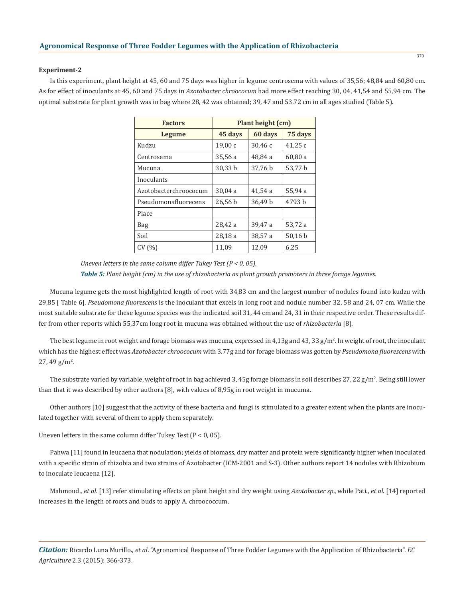#### **Experiment-2**

Is this experiment, plant height at 45, 60 and 75 days was higher in legume centrosema with values of 35,56; 48,84 and 60,80 cm. As for effect of inoculants at 45, 60 and 75 days in *Azotobacter chroococum* had more effect reaching 30, 04, 41,54 and 55,94 cm. The optimal substrate for plant growth was in bag where 28, 42 was obtained; 39, 47 and 53.72 cm in all ages studied (Table 5).

| <b>Factors</b>        | Plant height (cm) |         |         |  |  |  |
|-----------------------|-------------------|---------|---------|--|--|--|
| Legume                | 45 days           | 60 days | 75 days |  |  |  |
| Kudzu                 | 19,00c            | 30,46c  | 41,25 c |  |  |  |
| Centrosema            | 35,56 a           | 48,84 a | 60,80a  |  |  |  |
| Mucuna                | 30,33 b           | 37,76 b | 53,77 b |  |  |  |
| Inoculants            |                   |         |         |  |  |  |
| Azotobacterchroococum | 30,04a            | 41,54a  | 55,94 a |  |  |  |
| Pseudomonafluorecens  | 26,56 b           | 36,49 b | 4793 h  |  |  |  |
| Place                 |                   |         |         |  |  |  |
| Bag                   | 28,42 a           | 39,47 a | 53,72 a |  |  |  |
| Soil                  | 28,18a            | 38,57 a | 50,16 b |  |  |  |
| CV(%)                 | 11,09             | 12,09   | 6,25    |  |  |  |

*Uneven letters in the same column differ Tukey Test (P < 0, 05). Table 5: Plant height (cm) in the use of rhizobacteria as plant growth promoters in three forage legumes.*

Mucuna legume gets the most highlighted length of root with 34,83 cm and the largest number of nodules found into kudzu with 29,85 [ Table 6]. *Pseudomona fluorescens* is the inoculant that excels in long root and nodule number 32, 58 and 24, 07 cm. While the most suitable substrate for these legume species was the indicated soil 31, 44 cm and 24, 31 in their respective order. These results differ from other reports which 55,37cm long root in mucuna was obtained without the use of *rhizobacteria* [8].

The best legume in root weight and forage biomass was mucuna, expressed in  $4.13$ g and  $43,33$  g/m $^2$ . In weight of root, the inoculant which has the highest effect was *Azotobacter chroococum* with 3.77g and for forage biomass was gotten by *Pseudomona fluorescens* with  $27,49 \text{ g/m}^2$ .

The substrate varied by variable, weight of root in bag achieved 3, 45g forage biomass in soil describes 27, 22 g/m². Being still lower than that it was described by other authors [8], with values of 8,95g in root weight in mucuma.

Other authors [10] suggest that the activity of these bacteria and fungi is stimulated to a greater extent when the plants are inoculated together with several of them to apply them separately.

Uneven letters in the same column differ Tukey Test  $(P < 0, 05)$ .

Pahwa [11] found in leucaena that nodulation; yields of biomass, dry matter and protein were significantly higher when inoculated with a specific strain of rhizobia and two strains of Azotobacter (ICM-2001 and S-3). Other authors report 14 nodules with Rhizobium to inoculate leucaena [12].

Mahmoud., *et al*. [13] refer stimulating effects on plant height and dry weight using *Azotobacter sp*., while Pati., *et al*. [14] reported increases in the length of roots and buds to apply A. chroococcum.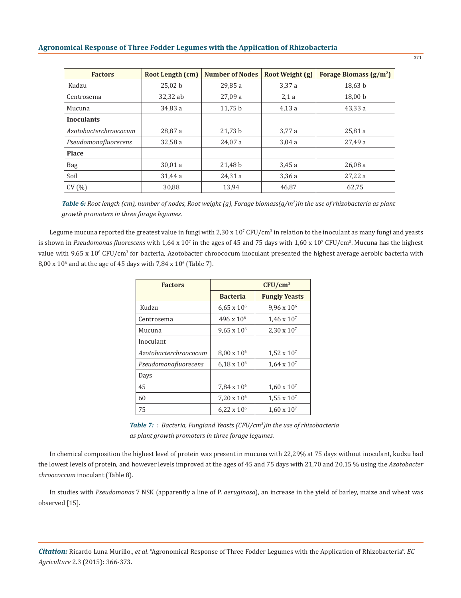| <b>Factors</b>        | Root Length (cm) | <b>Number of Nodes</b> | Root Weight (g) | Forage Biomass $(g/m^2)$ |
|-----------------------|------------------|------------------------|-----------------|--------------------------|
| Kudzu                 | 25,02 b          | 29,85 a                | 3,37a           | 18,63 b                  |
| Centrosema            | 32,32 ab         | 27,09a                 | 2,1a            | 18,00 b                  |
| Mucuna                | 34,83 a          | 11,75 b                | 4,13a           | 43,33a                   |
| <b>Inoculants</b>     |                  |                        |                 |                          |
| Azotobacterchroococum | 28,87 a          | 21,73 b                | 3,77 a          | 25,81a                   |
| Pseudomonafluorecens  | 32,58 a          | 24,07 a                | 3,04a           | 27,49 a                  |
| <b>Place</b>          |                  |                        |                 |                          |
| Bag                   | 30,01a           | 21,48 b                | 3,45a           | 26,08a                   |
| Soil                  | 31,44 a          | 24,31a                 | 3,36a           | 27,22a                   |
| CV(%)                 | 30.88            | 13.94                  | 46,87           | 62,75                    |

*Table 6: Root length (cm), number of nodes, Root weight (g), Forage biomass(g/m<sup>2</sup> )in the use of rhizobacteria as plant growth promoters in three forage legumes.*

Legume mucuna reported the greatest value in fungi with  $2.30 \times 10^{7}$  CFU/cm<sup>3</sup> in relation to the inoculant as many fungi and yeasts is shown in *Pseudomonas fluorescens* with 1,64 x 10<sup>7</sup> in the ages of 45 and 75 days with 1,60 x 10<sup>7</sup> CFU/cm<sup>3</sup>. Mucuna has the highest value with 9,65 x 10° CFU/cm<sup>3</sup> for bacteria, Azotobacter chroococum inoculant presented the highest average aerobic bacteria with  $8,00 \times 10^6$  and at the age of 45 days with  $7,84 \times 10^6$  (Table 7).

| <b>Factors</b>        | $CFU/cm^3$           |                      |  |  |  |
|-----------------------|----------------------|----------------------|--|--|--|
|                       | <b>Bacteria</b>      | <b>Fungiy Yeasts</b> |  |  |  |
| Kudzu                 | $6,65 \times 10^6$   | $9,96 \times 10^6$   |  |  |  |
| Centrosema            | $496 \times 10^{6}$  | $1.46 \times 10^{7}$ |  |  |  |
| Mucuna                | $9.65 \times 10^{6}$ | $2,30 \times 10^{7}$ |  |  |  |
| Inoculant             |                      |                      |  |  |  |
| Azotobacterchroococum | $8.00 \times 10^{6}$ | $1,52 \times 10^7$   |  |  |  |
| Pseudomonafluorecens  | $6.18 \times 10^{6}$ | $1.64 \times 10^{7}$ |  |  |  |
| Days                  |                      |                      |  |  |  |
| 45                    | $7,84 \times 10^6$   | $1,60 \times 10^{7}$ |  |  |  |
| 60                    | $7.20 \times 10^6$   | $1,55 \times 10^{7}$ |  |  |  |
| 75                    | $6.22 \times 10^{6}$ | $1.60 \times 10^{7}$ |  |  |  |

|  |  |                                                    |  |  |  |  | <b>Table 7:</b> : Bacteria, Fungiand Yeasts ( $CFU/cm3$ ) in the use of rhizobacteria |
|--|--|----------------------------------------------------|--|--|--|--|---------------------------------------------------------------------------------------|
|  |  | as plant growth promoters in three forage legumes. |  |  |  |  |                                                                                       |

In chemical composition the highest level of protein was present in mucuna with 22,29% at 75 days without inoculant, kudzu had the lowest levels of protein, and however levels improved at the ages of 45 and 75 days with 21,70 and 20,15 % using the *Azotobacter chroococcum* inoculant (Table 8).

In studies with *Pseudomonas* 7 NSK (apparently a line of P. *aeruginosa*), an increase in the yield of barley, maize and wheat was observed [15].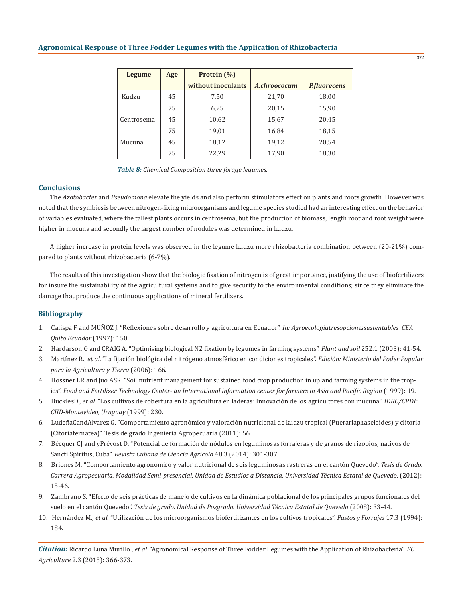| Legume     | Age         | Protein (%)        |              |                     |  |
|------------|-------------|--------------------|--------------|---------------------|--|
|            |             | without inoculants | A.chroococum | <b>P.fluorecens</b> |  |
| Kudzu      | 7,50<br>45  |                    | 21,70        | 18,00               |  |
|            | 75          | 6,25               | 20,15        | 15,90               |  |
| Centrosema | 45          | 10,62              | 15,67        | 20,45               |  |
|            | 75          | 19,01              | 16,84        | 18,15               |  |
| Mucuna     | 18,12<br>45 |                    | 19,12        | 20,54               |  |
|            | 75          | 22,29              | 17,90        | 18,30               |  |

*Table 8: Chemical Composition three forage legumes.*

### **Conclusions**

The *Azotobacter* and *Pseudomona* elevate the yields and also perform stimulators effect on plants and roots growth. However was noted that the symbiosis between nitrogen-fixing microorganisms and legume species studied had an interesting effect on the behavior of variables evaluated, where the tallest plants occurs in centrosema, but the production of biomass, length root and root weight were higher in mucuna and secondly the largest number of nodules was determined in kudzu.

A higher increase in protein levels was observed in the legume kudzu more rhizobacteria combination between (20-21%) compared to plants without rhizobacteria (6-7%).

The results of this investigation show that the biologic fixation of nitrogen is of great importance, justifying the use of biofertilizers for insure the sustainability of the agricultural systems and to give security to the environmental conditions; since they eliminate the damage that produce the continuous applications of mineral fertilizers.

### **Bibliography**

- 1. Calispa F and MUÑOZ J. "Reflexiones sobre desarrollo y agricultura en Ecuador". *In: Agroecologíatresopcionessustentables CEA Quito Ecuador* (1997): 150.
- 2. Hardarson G and CRAIG A. "Optimising biological N2 fixation by legumes in farming systems". *Plant and soil* 252.1 (2003): 41-54.
- 3. Martínez R., *et al*. "La fijación biológica del nitrógeno atmosférico en condiciones tropicales". *Edición: Ministerio del Poder Popular para la Agricultura y Tierra* (2006): 166.
- 4. Hossner LR and Juo ASR. "Soil nutrient management for sustained food crop production in upland farming systems in the trop ics". Food and Fertilizer Technology Center- an International information center for farmers in Asia and Pacific Region (1999): 19.
- 5. BucklesD., *et al*. "Los cultivos de cobertura en la agricultura en laderas: Innovación de los agricultores con mucuna". *IDRC/CRDI: CIID-Montevideo, Uruguay* (1999): 230.
- 6. LudeñaCandAlvarez G. "Comportamiento agronómico y valoración nutricional de kudzu tropical (Puerariaphaseloides) y clitoria (Citoriaternatea)". Tesis de grado Ingeniería Agropecuaria (2011): 56.
- 7. Bécquer CJ and yPrévost D. "Potencial de formación de nódulos en leguminosas forrajeras y de granos de rizobios, nativos de Sancti Spíritus, Cuba". *Revista Cubana de Ciencia Agrícola* 48.3 (2014): 301-307.
- 8. Briones M. "Comportamiento agronómico y valor nutricional de seis leguminosas rastreras en el cantón Quevedo". *Tesis de Grado. Carrera Agropecuaria. Modalidad Semi-presencial. Unidad de Estudios a Distancia. Universidad Técnica Estatal de Quevedo*. (2012): 15-46.
- 9. Zambrano S. "Efecto de seis prácticas de manejo de cultivos en la dinámica poblacional de los principales grupos funcionales del suelo en el cantón Quevedo". *Tesis de grado. Unidad de Posgrado. Universidad Técnica Estatal de Quevedo* (2008): 33-44.
- 10. Hernández M., *et al*. "Utilización de los microorganismos biofertilizantes en los cultivos tropicales". *Pastos y Forrajes* 17.3 (1994): 184.